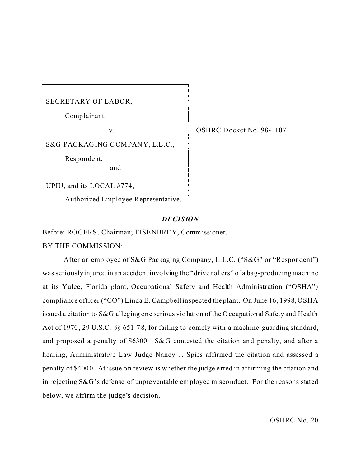SECRETARY OF LABOR,

Comp lainant,

v.

S&G PACKAGING COMPANY, L.L.C.,

and

Respon dent,

UPIU, and its LOCAL #774,

Authorized Employee Representative.

OSHRC Docket No. 98-1107

## *DECISION*

Before: ROGERS, Chairman; EISENBREY, Commissioner.

BY THE COMMISSION:

After an employee of S&G Packaging Company, L.L.C. ("S&G" or "Respondent") was seriously injured in an accident involving the "drive rollers" of a bag-producing machine at its Yulee, Florida plant, Occupational Safety and Health Administration ("OSHA") compliance officer ("CO") Linda E. Campbell inspected the plant. On June 16, 1998, OSHA issued a citation to S&G alleging one serious violation of the Occupational Safety and Health Act of 1970, 29 U.S.C. §§ 651-78, for failing to comply with a machine-guarding standard, and proposed a penalty of \$6300. S&G contested the citation and penalty, and after a hearing, Administrative Law Judge Nancy J. Spies affirmed the citation and assessed a penalty of \$4000. At issue on review is whether the judge e rred in affirming the citation and in rejecting S&G's defense of unpreventable employee misconduct. For the reasons stated below, we affirm the judge's decision.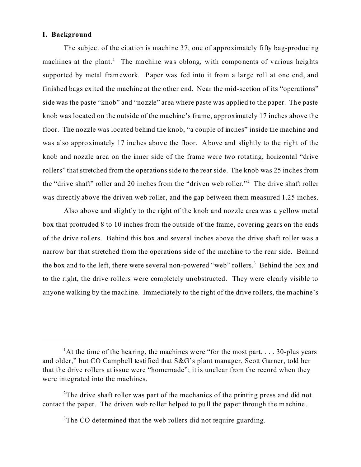### **I. Background**

The subject of the citation is machine 37, one of approximately fifty bag-producing machines at the plant.<sup>1</sup> The machine was oblong, with components of various heights supported by metal framework. Paper was fed into it from a large roll at one end, and finished bags exited the machine at the other end. Near the mid-section of its "operations" side was the paste "knob" and "nozzle" area where paste was applied to the paper. The paste knob was located on the outside of the machine's frame, approximately 17 inches above the floor. The nozzle was located behind the knob, "a couple of inches" inside the machine and was also approximately 17 inches above the floor. Above and slightly to the right of the knob and nozzle area on the inner side of the frame were two rotating, horizontal "drive rollers" that stretched from the operations side to the rear side. The knob was 25 inches from the "drive shaft" roller and 20 inches from the "driven web roller."<sup>2</sup> The drive shaft roller was directly above the driven web roller, and the gap between them measured 1.25 inches.

Also above and slightly to the right of the knob and nozzle area was a yellow metal box that protruded 8 to 10 inches from the outside of the frame, covering gears on the ends of the drive rollers. Behind this box and several inches above the drive shaft roller was a narrow bar that stretched from the operations side of the machine to the rear side. Behind the box and to the left, there were several non-powered "web" rollers.<sup>3</sup> Behind the box and to the right, the drive rollers were completely unobstructed. They were clearly visible to anyone walking by the machine. Immediately to the right of the drive rollers, the machine's

<sup>&</sup>lt;sup>1</sup>At the time of the hearing, the machines were "for the most part,  $\dots$  30-plus years and older," but CO Campbell testified that S&G's plant manager, Scott Garner, told her that the drive rollers at issue were "homemade"; it is unclear from the record when they were integrated into the machines.

<sup>&</sup>lt;sup>2</sup>The drive shaft roller was part of the mechanics of the printing press and did not contact the paper. The driven web roller helped to pull the paper through the machine.

<sup>&</sup>lt;sup>3</sup>The CO determined that the web rollers did not require guarding.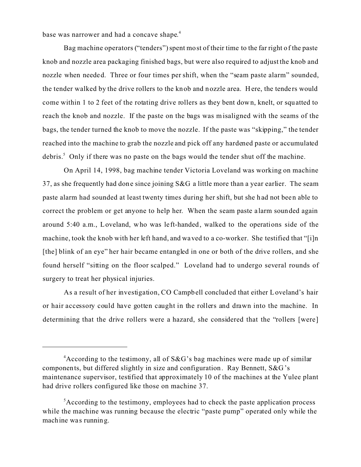base was narrower and had a concave shape. 4

Bag machine operators ("tenders") spent most of their time to the far right of the paste knob and nozzle area packaging finished bags, but were also required to adjust the knob and nozzle when needed. Three or four times per shift, when the "seam paste alarm" sounded, the tender walked by the drive rollers to the knob and nozzle area. Here, the tenders would come within 1 to 2 feet of the rotating drive rollers as they bent down, knelt, or squatted to reach the knob and nozzle. If the paste on the bags was m isaligned with the seams of the bags, the tender turned the knob to move the nozzle. If the paste was "skipping," the tender reached into the machine to grab the nozzle and pick off any hardened paste or accumulated debris.<sup>5</sup> Only if there was no paste on the bags would the tender shut off the machine.

On April 14, 1998, bag machine tender Victoria Loveland was working on machine 37, as she frequently had done since joining S&G a little more than a year earlier. The seam paste alarm had sounded at least twenty times during her shift, but she had not been able to correct the problem or get anyone to help her. When the seam paste a larm sounded again around 5:40 a.m., Loveland, who was le ft-handed, walked to the operations side of the machine, took the knob with her left hand, and waved to a co-worker. She testified that "[i]n [the] blink of an eye" her hair became entangled in one or both of the drive rollers, and she found herself "sitting on the floor scalped." Loveland had to undergo several rounds of surgery to treat her physical injuries.

As a result of her investigation, CO Campbell concluded that either Loveland's hair or hair accessory could have gotten caught in the rollers and drawn into the machine. In determining that the drive rollers were a hazard, she considered that the "rollers [were]

<sup>&</sup>lt;sup>4</sup> According to the testimony, all of S&G's bag machines were made up of similar components, but differed slightly in size and configuration. Ray Bennett, S&G's maintenance supervisor, testified that approximately 10 of the machines at the Yulee plant had drive rollers configured like those on machine 37.

<sup>&</sup>lt;sup>5</sup> According to the testimony, employees had to check the paste application process while the machine was running because the electric "paste pump" operated only while the machine was running.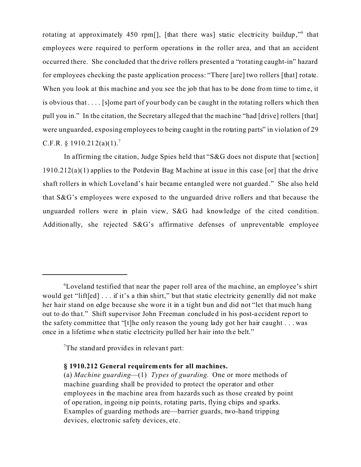rotating at approximately 450 rpm[], [that there was] static electricity buildup,"<sup>6</sup> that employees were required to perform operations in the roller area, and that an accident occurred there. She concluded that the drive rollers presented a "rotating caught-in" hazard for employees checking the paste application process: "There [are] two rollers [that] rotate. When you look at this machine and you see the job that has to be done from time to time, it is obvious that . . . . [s]ome part of your body can be caught in the rotating rollers which then pull you in." In the citation, the Secretary alleged that the machine "had [drive] rollers [that] were unguarded, exposing employees to being caught in the rotating parts" in violation of 29 C.F.R.  $$1910.212(a)(1).$ <sup>7</sup>

In affirming the citation, Judge Spies held that "S&G does not dispute that [section] 1910.212(a)(1) applies to the Potdevin Bag Machine at issue in this case [or] that the drive shaft rollers in which Loveland's hair became entangled were not guarded." She also held that S&G's employees were exposed to the unguarded drive rollers and that because the unguarded rollers were in plain view, S&G had knowledge of the cited condition. Additionally, she rejected S&G's affirmative defenses of unpreventable employee

<sup>&</sup>lt;sup>6</sup>Loveland testified that near the paper roll area of the machine, an employee's shirt would get "lift[ed] . . . if it's a thin shirt," but that static electricity generally did not make her hair stand on edge because she wore it in a tight bun and did not "let that much hang out to do tha t." Shift supe rvisor John Freeman concluded in his post-a ccident report to the safety committee that "[t]he only reason the young lady got her hair caught . . . was once in a lifetime when static electricity pulled her hair into the belt."

<sup>&</sup>lt;sup>7</sup>The stand ard provides in relevant part:

**<sup>§ 1910.212</sup> General requirements for all machines.** 

<sup>(</sup>a) *Machine guarding*—(1) *Types of guarding.* One or more methods of machine guarding shall be provided to protect the operator and other employees in the machine area from hazards such as those created by point of ope ration, ingoing nip points, rotating parts, flying chips and sparks. Examples of guarding methods are—barrier guards, two-hand tripping devices, electronic safety devices, etc.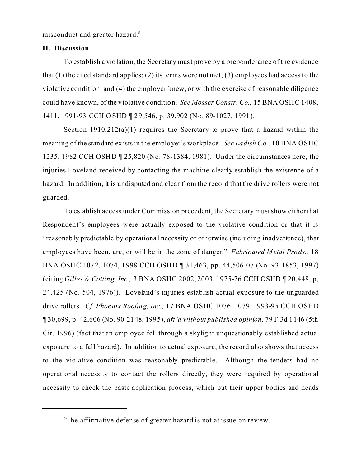misconduct and greater hazard.<sup>8</sup>

## **II. Discussion**

To establish a violation, the Secretary must prove by a preponderance of the evidence that  $(1)$  the cited standard applies;  $(2)$  its terms were not met;  $(3)$  employees had access to the violative condition; and (4) the employer knew, or with the exercise of reasonable diligence could have known, of the violative condition. *See Mosser Constr. Co.,* 15 BNA OSHC 1408, 1411, 1991-93 CCH OSHD ¶ 29,546, p. 39,902 (No. 89-1027, 1991).

Section 1910.212(a)(1) requires the Secretary to prove that a hazard within the meaning of the standard exists in the employer's workplace . *See Ladish Co.,* 10 BNA OSHC 1235, 1982 CCH OSHD ¶ 25,820 (No. 78-1384, 1981). Under the circumstances here, the injuries Loveland received by contacting the machine clearly establish the existence of a hazard. In addition, it is undisputed and clear from the record that the drive rollers were not guarded.

To establish access under Commission precedent, the Secretary must show either that Respondent's employees were actually exposed to the violative condition or that it is "reasonably predictable by operationa l necessity or otherwise (including inadvertence), that employees have been, are, or will be in the zone of danger." *Fabricated Metal Prods.,* 18 BNA OSHC 1072, 1074, 1998 CCH OSHD ¶ 31,463, pp. 44,506-07 (No. 93-1853, 1997) (citing *Gilles & Cotting, Inc.,* 3 BNA OSHC 2002, 2003, 1975-76 CCH OSHD ¶ 20,448, p, 24,425 (No. 504, 1976)). Loveland's injuries establish actual exposure to the unguarded drive rollers. *Cf. Phoenix Roofing, Inc.,* 17 BNA OSHC 1076, 1079, 1993-95 CCH OSHD ¶ 30,699, p. 42,606 (No. 90-2148, 1995), *aff'd without published opinion,* 79 F.3d 1146 (5th Cir. 1996) (fact that an employee fell through a skylight unquestionably established actual exposure to a fall hazard). In addition to actual exposure, the record also shows that access to the violative condition was reasonably predictable. Although the tenders had no operational necessity to contact the rollers directly, they were required by operational necessity to check the paste application process, which put their upper bodies and heads

<sup>&</sup>lt;sup>8</sup>The affirmative defense of greater hazard is not at issue on review.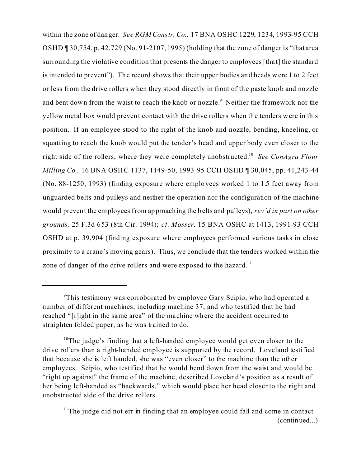within the zone of danger. *See RGM Constr. Co.,* 17 BNA OSHC 1229, 1234, 1993-95 CCH OSHD ¶ 30,754, p. 42,729 (No. 91-2107, 1995) (holding that the zone of danger is "that area surrounding the violative condition that presents the danger to employees [that] the standard is intended to prevent"). The record shows that their upper bodies and heads were 1 to 2 feet or less from the drive rollers when they stood directly in front of the paste knob and nozzle and bent down from the waist to reach the knob or nozzle.<sup>9</sup> Neither the framework nor the yellow metal box would prevent contact with the drive rollers when the tenders were in this position. If an employee stood to the right of the knob and nozzle, bending, kneeling, or squatting to reach the knob would put the tender's head and upper body even closer to the right side of the rollers, where they were completely unobstructed.10 *See ConAgra Flour Milling Co.,* 16 BNA OSHC 1137, 1149-50, 1993-95 CCH OSHD ¶ 30,045, pp. 41,243-44 (No. 88-1250, 1993) (finding exposure where employees worked 1 to 1.5 feet away from unguarded belts and pulleys and neither the operation nor the configuration of the machine would prevent the employees from approaching the belts and pulleys), *rev'd in part on other grounds,* 25 F.3d 653 (8th Cir. 1994); *cf. Mosser,* 15 BNA OSHC at 1413, 1991-93 CCH OSHD at p. 39,904 (finding exposure where employees performed various tasks in close proximity to a crane's moving gears). Thus, we conclude that the tenders worked within the zone of danger of the drive rollers and were exposed to the hazard.<sup>11</sup>

<sup>9</sup> This testimony was corroborated by employee Gary Scipio, who had operated a number of different machines, including machine 37, and who testified that he had reached "Irlight in the same area" of the machine where the accident occurred to straighten folded paper, as he was trained to do.

<sup>&</sup>lt;sup>10</sup>The judge's finding that a left-handed employee would get even closer to the drive rollers than a right-handed employee is supported by the record. Loveland testified that because she is left handed, she was "even closer" to the machine than the other employees. Scipio, who testified that he would bend down from the waist and would be "right up against" the frame of the machine, described Loveland's position as a result of her being left-handed as "backwards," which would place her head closer to the right and unobstructed side of the drive rollers.

 $11$ The judge did not err in finding that an employee could fall and come in contact (continued...)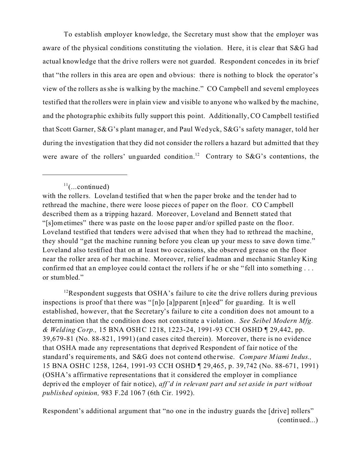To establish employer knowledge, the Secretary must show that the employer was aware of the physical conditions constituting the violation. Here, it is clear that S&G had actual knowledge that the drive rollers were not guarded. Respondent concedes in its brief that "the rollers in this area are open and obvious: there is nothing to block the operator's view of the rollers as she is walking by the machine." CO Campbell and several employees testified that the rollers were in plain view and visible to anyone who walked by the machine, and the photographic exhibits fully support this point. Additionally, CO Campbell testified that Scott Garner, S&G's plant manager, and Paul Wedyck, S&G's safety manager, told her during the investigation that they did not consider the rollers a hazard but admitted that they were aware of the rollers' unguarded condition.<sup>12</sup> Contrary to S&G's contentions, the

<sup>12</sup>Respondent suggests that OSHA's failure to cite the drive rollers during previous inspections is proof that there was " [n]o [a]pparent [n]e ed" for guarding. It is well established, however, that the Secretary's failure to cite a condition does not amount to a determination that the condition does not constitute a violation. *See Seibel Modern Mfg. & Welding Corp.,* 15 BNA OSHC 1218, 1223-24, 1991-93 CCH OSHD ¶ 29,442, pp. 39,679-81 (No. 88-821, 1991) (and cases cited therein). Moreover, there is no evidence that OSHA made any representations that deprived Respondent of fair notice of the standard's requirements, and S&G does not contend othe rwise. *Compare Miami Indus.,*  15 BNA OSHC 1258, 1264, 1991-93 CCH OSHD ¶ 29,465, p. 39,742 (No. 88-671, 1991) (OSHA's affirmative representations that it considered the employer in compliance deprived the employer of fair notice), *aff'd in relevant part and set aside in part without published opinion,* 983 F.2d 1067 (6th Cir. 1992).

Respondent's additional argument that "no one in the industry guards the [drive] rollers" (continued...)

 $11$ (...continued)

with the rollers. Loveland testified that when the paper broke and the tender had to rethread the machine, there were loose pieces of paper on the floor. CO Campbell described them as a tripping hazard. Moreover, Loveland and Bennett stated that "[s]ometimes" there was paste on the loose paper and/or spilled paste on the floor. Loveland testified that tenders were advised that when they had to rethread the machine, they should "get the machine running before you clean up your mess to save down time." Loveland also testified that on at least two occasions, she observed grease on the floor near the roller area of her machine. Moreover, relief leadman and mechanic Stanley King confirmed that an employee could contact the rollers if he or she "fell into something ... or stumbled."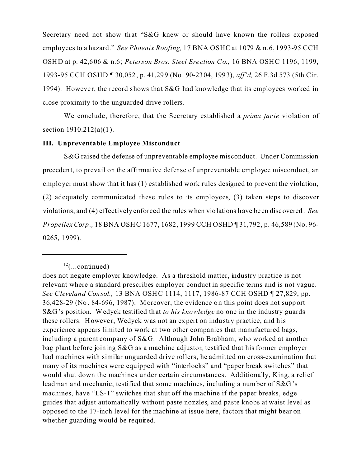Secretary need not show that "S&G knew or should have known the rollers exposed employees to a hazard." *See Phoenix Roofing,* 17 BNA OSHC at 1079 & n.6, 1993-95 CCH OSHD at p. 42,606 & n.6; *Peterson Bros. Steel Ere ction Co.,* 16 BNA OSHC 1196, 1199, 1993-95 CCH OSHD ¶ 30,052, p. 41,299 (No. 90-2304, 1993), *aff'd,* 26 F.3d 573 (5th C ir. 1994). However, the record shows that  $S&G$  had knowledge that its employees worked in close proximity to the unguarded drive rollers.

We conclude, therefore, that the Secretary established a *prima facie* violation of section 1910.212(a)(1).

### **III. Unpreventable Employee Misconduct**

S&G raised the defense of unpreventable employee misconduct. Under Commission precedent, to prevail on the affirmative defense of unpreventable employee misconduct, an employer must show that it has (1) established work rules designed to prevent the violation, (2) adequately communicated these rules to its employees, (3) taken steps to discover violations, and (4) effectively enforced the rules when violations have been discovered. *See Propellex Corp.,* 18 BNA OSHC 1677, 1682, 1999 CCH OSHD ¶ 31, 792, p. 46, 589 (No. 96-0265, 1999).

 $12$ (...continued)

does not negate employer knowledge. As a threshold matter, industry practice is not relevant where a standard prescribes employer conduct in specific terms and is not vague. *See Cleveland Consol.,* 13 BNA OSHC 1114, 1117, 1986-87 CCH OSHD ¶ 27,829, pp. 36,428-29 (No. 84-696, 1987). Moreover, the evidence on this point does not support S&G's position. Wedyck testified that *to his knowledge* no one in the industry guards these rollers. However, Wedyck was not an expert on industry practice, and his experience appears limited to work at two other companies that manufactured bags, including a parent company of S&G. Although John Brabham, who worked at another bag plant before joining S&G as a machine adjustor, testified that his former employer had machines with similar unguarded drive rollers, he admitted on cross-examination that many of its machines were equipped with "interlocks" and "paper break switches" that would shut down the machines under certain circumstances. Additionally, King, a relief leadman and mechanic, testified that some machines, including a number of S&G's machines, have "LS-1" switches that shut off the machine if the paper breaks, edge guides that adjust automatically without paste nozzles, and paste knobs at waist level as opposed to the 17-inch level for the machine at issue here, factors that might bear on whether guarding would be required.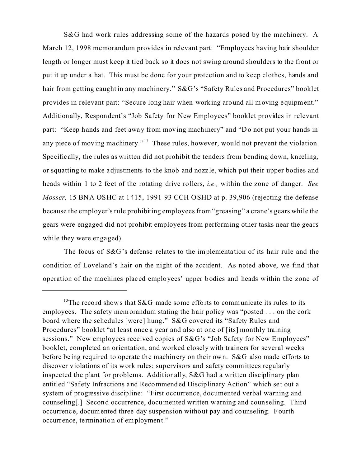S&G had work rules addressing some of the hazards posed by the machinery. A March 12, 1998 memorandum provides in relevant part: "Employees having hair shoulder length or longer must keep it tied back so it does not swing around shoulders to the front or put it up under a hat. This must be done for your protection and to keep clothes, hands and hair from getting caught in any machinery." S&G's "Safety Rules and Procedures" booklet provides in relevant part: "Secure long hair when working around all moving equipment." Additionally, Respondent's "Job Safety for New Employees" booklet provides in relevant part: "Keep hands and feet away from moving machinery" and "Do not put your hands in any piece of moving machinery."<sup>13</sup> These rules, however, would not prevent the violation. Specific ally, the rules as written did not prohibit the tenders from bending down, kneeling, or squatting to make adjustments to the knob and nozz le, which put their upper bodies and heads within 1 to 2 feet of the rotating drive rollers, *i.e.*, within the zone of danger. *See Mosser,* 15 BNA OSHC at 1415, 1991-93 CCH OSHD at p. 39,906 (rejecting the defense because the employer's rule prohibiting employees from "greasing" a crane's gears while the gears were engaged did not prohibit employees from performing other tasks near the gears while they were engaged).

The focus of S&G's defense relates to the implementation of its hair rule and the condition of Loveland's hair on the night of the accident. As noted above, we find that operation of the ma chines plac ed employees' upper bodies and heads within the zone of

<sup>&</sup>lt;sup>13</sup>The record shows that S&G made some efforts to communicate its rules to its employees. The safety memorandum stating the hair policy was "posted . . . on the cork board where the schedules [were] hung." S&G covered its "Safety Rules and Procedures" booklet "at least once a year and also at one of [its] monthly training sessions." New employees received copies of S&G's "Job Safety for New Employees" booklet, completed an orientation, and worked closely with trainers for several weeks before be ing required to operate the machinery on their own. S&G also made efforts to discover violations of its work rules; supervisors and safety committees regularly inspected the plant for problems. Additionally, S&G had a written disciplinary plan entitled "Safety Infractions and Recommended Disciplinary Action" which set out a system of progressive discipline: "First occurrence, documented verbal warning and counseling[.] Second occurrence, documented written warning and counseling. Third occurrenc e, documented three day suspension without pay and counseling. Fourth occurrence, termination of employment."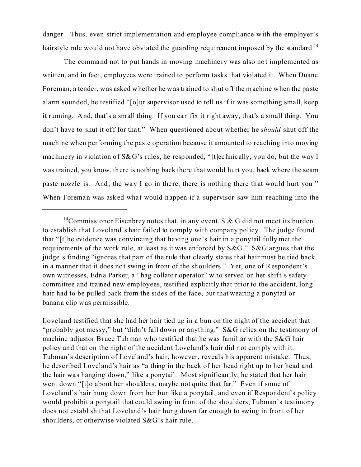danger. Thus, even strict implementation and employee compliance with the employer's hairstyle rule would not have obviated the guarding requirement imposed by the standard.<sup>14</sup>

The command not to put hands in moving machinery was also not implemented as written, and in fact, employees were trained to perform tasks that violated it. When Duane Foreman, a tender, was asked whether he was trained to shut off the machine when the pa ste alarm sounded, he testified "[o]ur supervisor used to tell us if it was something small, keep it running. And, that's a small thing. If you can fix it right away, that's a small thing. You don't have to shut it off for that." When questioned about whether he *should* shut off the machine when performing the paste operation because it amounted to reaching into moving machinery in violation of S&G's rules, he responded, "[t]echnically, you do, but the way I was trained, you know, there is nothing back there that would hurt you, back where the seam paste nozzle is. And, the way I go in there, there is nothing there that would hurt you." When Foreman was asked what would happen if a supervisor saw him reaching into the

<sup>&</sup>lt;sup>14</sup>Commissioner Eisenbrey notes that, in any event, S & G did not meet its burden to establish that Loveland's hair failed to comply with company policy. The judge found that "[t]he evidence was convincing that having one's hair in a ponytail fully met the requirements of the work rule, at least as it was enforced by S&G." S&G argues that the judge's finding "ignores that part of the rule that clearly states that hair must be tied back in a manner that it does not swing in front of the shoulders." Yet, one of Respondent's own witnesses, Edna Parker, a "bag collator operator" who served on her shift's safety committee and trained new employees, testified explicitly that prior to the accident, long hair had to be pulled back from the sides of the face, but that wearing a ponytail or banana clip was permissible.

Loveland testified that she had her hair tied up in a bun on the night of the accident that "probably got messy," but "didn't fall down or anything." S&G relies on the testimony of machine adjustor Bruce Tubman who testified that he was familiar with the S&G hair policy and that on the night of the a ccident Loveland's hair did not comply with it. Tubman's description of Loveland's hair, however, reveals his apparent mistake. Thus, he described Loveland's hair as "a thing in the back of her head right up to her head and the hair wa s hanging down," like a ponytail. Most significantly, he stated that her hair went down "[t]o about her shoulders, maybe not quite that far." Even if some of Loveland's hair hung down from her bun like a ponytail, and even if Respondent's policy would prohibit a ponytail that could swing in front of the shoulders, Tubman's testimony does not establish that Loveland's hair hung down far enough to swing in front of her shoulders, or otherwise violated S&G's hair rule.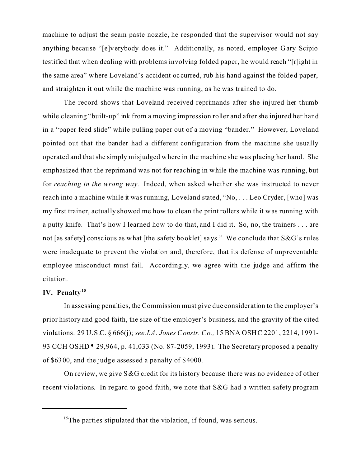machine to adjust the seam paste nozzle, he responded that the supervisor would not say anything because "[e]verybody does it." Additionally, as noted, employee Gary Scipio testified that when dealing with problems involving folded paper, he would reach "[r]ight in the same area" where Loveland's accident oc curred, rub his hand against the folded paper, and straighten it out while the machine was running, as he was trained to do.

The record shows that Loveland received reprimands after she injured her thumb while cleaning "built-up" ink from a moving impression roller and after she injured her hand in a "paper feed slide" while pulling paper out of a moving "bander." However, Loveland pointed out that the bander had a different configuration from the machine she usually operated and that she simply misjudged where in the machine she was placing her hand. She emphasized that the reprimand was not for reaching in while the machine was running, but for *reaching in the wrong way.* Indeed, when asked whether she was instructed to never reach into a machine while it was running, Loveland stated, "No, . . . Leo Cryder, [who] was my first trainer, actually showed me how to clean the print rollers while it w as running with a putty knife. That's how I learned how to do that, and I did it. So, no, the trainers . . . are not [as safety] conscious as what [the safety booklet] says." We conclude that S&G's rules were inadequate to prevent the violation and, therefore, that its defense of unpreventable employee misconduct must fail. Accordingly, we agree with the judge and affirm the citation.

# **IV. Penalty<sup>15</sup>**

In assessing penalties, the Commission must give due consideration to the employer's prior history and good faith, the size of the employer's business, and the gravity of the cited violations. 29 U.S.C. § 666(j); *see J.A. Jones Constr. Co.,* 15 BNA OSHC 2201, 2214, 1991- 93 CCH OSHD ¶ 29,964, p. 41,033 (No. 87-2059, 1993). The Secretary proposed a penalty of \$6300, and the judge assess ed a penalty of \$4000.

On review, we give  $S\&G$  credit for its history because there was no evidence of other recent violations. In regard to good faith, we note that S&G had a written safety program

 $15$ <sup>15</sup>The parties stipulated that the violation, if found, was serious.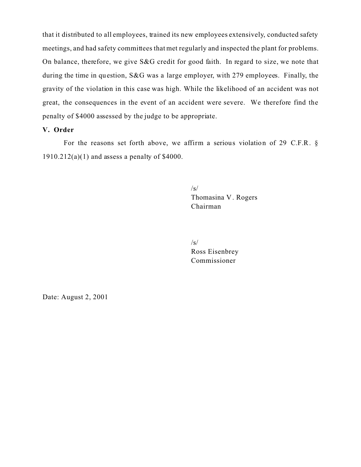that it distributed to all employees, trained its new employees extensively, conducted safety meetings, and had safety committees that met regularly and inspected the plant for problems. On balance, therefore, we give S&G credit for good faith. In regard to size, we note that during the time in question, S&G was a large employer, with 279 employees. Finally, the gravity of the violation in this case was high. While the likelihood of an accident was not great, the consequences in the event of an accident were severe. We therefore find the penalty of \$4000 assessed by the judge to be appropriate.

# **V. Order**

For the reasons set forth above, we affirm a serious violation of 29 C.F.R. §  $1910.212(a)(1)$  and assess a penalty of \$4000.

> /s/ Thomasina V . Rogers Chairman

 $\sqrt{s}$ Ross Eisenbrey Commissioner

Date: August 2, 2001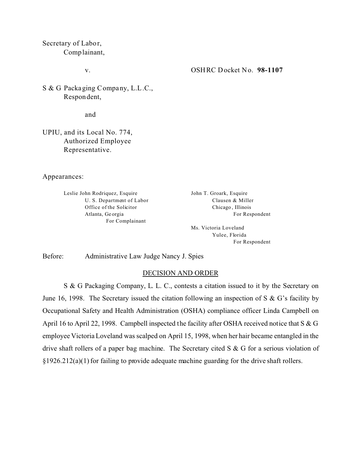Secretary of Labor, Complainant,

v.

OSHRC Docket No. **98-1107** 

S & G Packaging Company, L.L.C., Respondent,

and

UPIU, and its Local No. 774, Authorized Employee Representative.

Appearances:

Leslie John Rodriquez, Esquire U. S. Department of Labor Office of the Solicitor Atlanta, Ge orgia For Complainant

John T. Groark, Esquire Clausen & Miller Chicago , Illinois For Respondent

Ms. Victoria Loveland Yulee, Florida For Respondent

Before: Administrative Law Judge Nancy J. Spies

#### DECISION AND ORDER

S & G Packaging Company, L. L. C., contests a citation issued to it by the Secretary on June 16, 1998. The Secretary issued the citation following an inspection of S  $\&$  G's facility by Occupational Safety and Health Administration (OSHA) compliance officer Linda Campbell on April 16 to April 22, 1998. Campbell inspected the facility after OSHA received notice that S & G employee Victoria Loveland was scalped on April 15, 1998, when her hair became entangled in the drive shaft rollers of a paper bag machine. The Secretary cited S & G for a serious violation of §1926.212(a)(1) for failing to provide adequate machine guarding for the drive shaft rollers.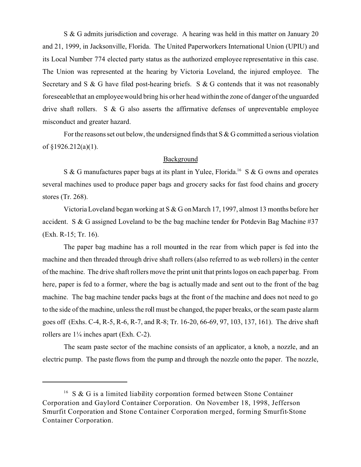S & G admits jurisdiction and coverage. A hearing was held in this matter on January 20 and 21, 1999, in Jacksonville, Florida. The United Paperworkers International Union (UPIU) and its Local Number 774 elected party status as the authorized employee representative in this case. The Union was represented at the hearing by Victoria Loveland, the injured employee. The Secretary and S & G have filed post-hearing briefs. S & G contends that it was not reasonably foreseeable that an employee would bring his or her head within the zone of danger of the unguarded drive shaft rollers. S & G also asserts the affirmative defenses of unpreventable employee misconduct and greater hazard.

For the reasons set out below, the undersigned finds that  $S \& G$  committed a serious violation of  $$1926.212(a)(1)$ .

### Background

S & G manufactures paper bags at its plant in Yulee, Florida.<sup>16</sup> S & G owns and operates several machines used to produce paper bags and grocery sacks for fast food chains and grocery stores (Tr. 268).

Victoria Loveland began working at S & G on March 17, 1997, almost 13 months before her accident. S & G assigned Loveland to be the bag machine tender for Potdevin Bag Machine #37 (Exh. R-15; Tr. 16).

The paper bag machine has a roll mounted in the rear from which paper is fed into the machine and then threaded through drive shaft rollers (also referred to as web rollers) in the center of the machine. The drive shaft rollers move the print unit that prints logos on each paper bag. From here, paper is fed to a former, where the bag is actually made and sent out to the front of the bag machine. The bag machine tender packs bags at the front of the machine and does not need to go to the side of the machine, unless the roll must be changed, the paper breaks, or the seam paste alarm goes off (Exhs. C-4, R-5, R-6, R-7, and R-8; Tr. 16-20, 66-69, 97, 103, 137, 161). The drive shaft rollers are 1¼ inches apart (Exh. C-2).

The seam paste sector of the machine consists of an applicator, a knob, a nozzle, and an electric pump. The paste flows from the pump and through the nozzle onto the paper. The nozzle,

<sup>&</sup>lt;sup>16</sup> S & G is a limited liability corporation formed between Stone Container Corporation and Gaylord Container Corporation. On November 18, 1998, Jefferson Smurfit Corporation and Stone Container Corporation merged, forming Smurfit-Stone Container Corporation.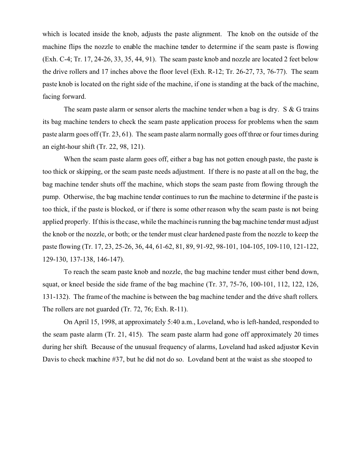which is located inside the knob, adjusts the paste alignment. The knob on the outside of the machine flips the nozzle to enable the machine tender to determine if the seam paste is flowing (Exh. C-4; Tr. 17, 24-26, 33, 35, 44, 91). The seam paste knob and nozzle are located 2 feet below the drive rollers and 17 inches above the floor level (Exh. R-12; Tr. 26-27, 73, 76-77). The seam paste knob is located on the right side of the machine, if one is standing at the back of the machine, facing forward.

The seam paste alarm or sensor alerts the machine tender when a bag is dry.  $S \& G$  trains its bag machine tenders to check the seam paste application process for problems when the seam paste alarm goes off (Tr. 23, 61). The seam paste alarm normally goes off three or four times during an eight-hour shift (Tr. 22, 98, 121).

When the seam paste alarm goes off, either a bag has not gotten enough paste, the paste is too thick or skipping, or the seam paste needs adjustment. If there is no paste at all on the bag, the bag machine tender shuts off the machine, which stops the seam paste from flowing through the pump. Otherwise, the bag machine tender continues to run the machine to determine if the paste is too thick, if the paste is blocked, or if there is some other reason why the seam paste is not being applied properly. If this is the case, while the machineis running the bag machine tender must adjust the knob or the nozzle, or both; or the tender must clear hardened paste from the nozzle to keep the paste flowing (Tr. 17, 23, 25-26, 36, 44, 61-62, 81, 89, 91-92, 98-101, 104-105, 109-110, 121-122, 129-130, 137-138, 146-147).

To reach the seam paste knob and nozzle, the bag machine tender must either bend down, squat, or kneel beside the side frame of the bag machine (Tr. 37, 75-76, 100-101, 112, 122, 126, 131-132). The frame of the machine is between the bag machine tender and the drive shaft rollers. The rollers are not guarded (Tr. 72, 76; Exh. R-11).

On April 15, 1998, at approximately 5:40 a.m., Loveland, who is left-handed, responded to the seam paste alarm (Tr. 21, 415). The seam paste alarm had gone off approximately 20 times during her shift. Because of the unusual frequency of alarms, Loveland had asked adjustor Kevin Davis to check machine #37, but he did not do so. Loveland bent at the waist as she stooped to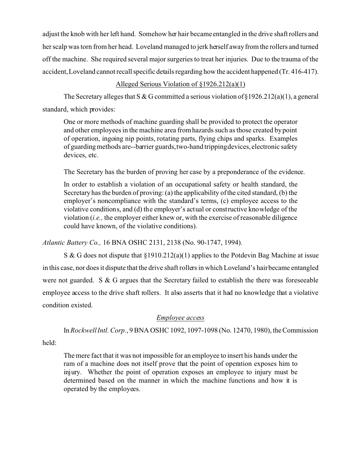adjust the knob with her left hand. Somehow her hair became entangled in the drive shaft rollers and her scalp was torn from her head. Loveland managed to jerk herself away from the rollers and turned off the machine. She required several major surgeries to treat her injuries. Due to the trauma of the accident, Loveland cannot recall specific details regarding how the accident happened (Tr. 416-417).

# Alleged Serious Violation of §1926.212(a)(1)

The Secretary alleges that S & G committed a serious violation of §1926.212(a)(1), a general standard, which provides:

One or more methods of machine guarding shall be provided to protect the operator and other employees in the machine area from hazards such as those created by point of operation, ingoing nip points, rotating parts, flying chips and sparks. Examples of guarding methods are--barrier guards,two-hand trippingdevices, electronic safety devices, etc.

The Secretary has the burden of proving her case by a preponderance of the evidence.

In order to establish a violation of an occupational safety or health standard, the Secretary has the burden of proving: (a) the applicability of the cited standard, (b) the employer's noncompliance with the standard's terms, (c) employee access to the violative conditions, and (d) the employer's actual or constructive knowledge of the violation (*i.e.,* the employer either knew or, with the exercise of reasonable diligence could have known, of the violative conditions).

*Atlantic Battery Co.,* 16 BNA OSHC 2131, 2138 (No. 90-1747, 1994).

S & G does not dispute that §1910.212(a)(1) applies to the Potdevin Bag Machine at issue in this case, nor does it dispute that the drive shaft rollers in which Loveland's hair became entangled were not guarded. S & G argues that the Secretary failed to establish the there was foreseeable employee access to the drive shaft rollers. It also asserts that it had no knowledge that a violative condition existed.

# *Employee access*

In *Rockwell Intl. Corp.*, 9 BNA OSHC 1092, 1097-1098 (No. 12470, 1980), the Commission

held:

The mere fact that it was not impossible for an employee to insert his hands under the ram of a machine does not itself prove that the point of operation exposes him to injury. Whether the point of operation exposes an employee to injury must be determined based on the manner in which the machine functions and how it is operated by the employees.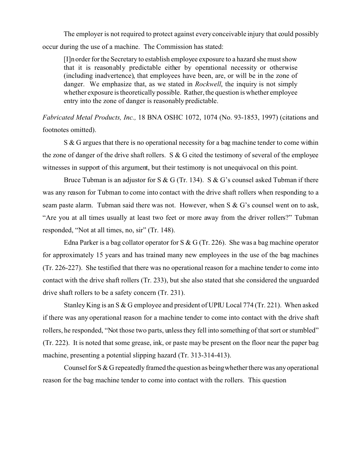The employer is not required to protect against every conceivable injury that could possibly occur during the use of a machine. The Commission has stated:

[I]n order for the Secretary to establish employee exposure to a hazard she must show that it is reasonably predictable either by operational necessity or otherwise (including inadvertence), that employees have been, are, or will be in the zone of danger. We emphasize that, as we stated in *Rockwell*, the inquiry is not simply whether exposure is theoretically possible. Rather, the question is whether employee entry into the zone of danger is reasonably predictable.

*Fabricated Metal Products, Inc.,* 18 BNA OSHC 1072, 1074 (No. 93-1853, 1997) (citations and footnotes omitted).

S & G argues that there is no operational necessity for a bag machine tender to come within the zone of danger of the drive shaft rollers. S & G cited the testimony of several of the employee witnesses in support of this argument, but their testimony is not unequivocal on this point.

Bruce Tubman is an adjustor for S & G (Tr. 134). S & G's counsel asked Tubman if there was any reason for Tubman to come into contact with the drive shaft rollers when responding to a seam paste alarm. Tubman said there was not. However, when S & G's counsel went on to ask, "Are you at all times usually at least two feet or more away from the driver rollers?" Tubman responded, "Not at all times, no, sir" (Tr. 148).

Edna Parker is a bag collator operator for S & G (Tr. 226). She was a bag machine operator for approximately 15 years and has trained many new employees in the use of the bag machines (Tr. 226-227). She testified that there was no operational reason for a machine tender to come into contact with the drive shaft rollers (Tr. 233), but she also stated that she considered the unguarded drive shaft rollers to be a safety concern (Tr. 231).

Stanley King is an S & G employee and president of UPIU Local 774 (Tr. 221). When asked if there was any operational reason for a machine tender to come into contact with the drive shaft rollers, he responded, "Not those two parts, unless they fell into something of that sort or stumbled" (Tr. 222). It is noted that some grease, ink, or paste may be present on the floor near the paper bag machine, presenting a potential slipping hazard (Tr. 313-314-413).

Counsel for S & G repeatedly framed the question as beingwhether there was any operational reason for the bag machine tender to come into contact with the rollers. This question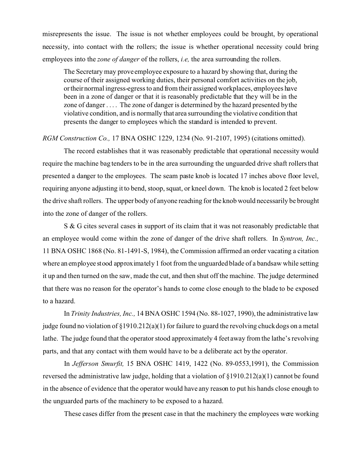misrepresents the issue. The issue is not whether employees could be brought, by operational necessity, into contact with the rollers; the issue is whether operational necessity could bring employees into the *zone of danger* of the rollers, *i.e,* the area surrounding the rollers.

The Secretary may prove employee exposure to a hazard by showing that, during the course of their assigned working duties, their personal comfort activities on the job, ortheirnormal ingress-egress to and from their assigned workplaces, employees have been in a zone of danger or that it is reasonably predictable that they will be in the zone of danger . . . . The zone of danger is determined by the hazard presented bythe violative condition, and is normally that area surrounding the violative condition that presents the danger to employees which the standard is intended to prevent.

#### *RGM Construction Co.,* 17 BNA OSHC 1229, 1234 (No. 91-2107, 1995) (citations omitted).

The record establishes that it was reasonably predictable that operational necessity would require the machine bag tenders to be in the area surrounding the unguarded drive shaft rollers that presented a danger to the employees. The seam paste knob is located 17 inches above floor level, requiring anyone adjusting it to bend, stoop, squat, or kneel down. The knob is located 2 feet below the drive shaft rollers. The upper body of anyone reaching for the knob would necessarily be brought into the zone of danger of the rollers.

S & G cites several cases in support of its claim that it was not reasonably predictable that an employee would come within the zone of danger of the drive shaft rollers. In *Syntron, Inc.,*  11 BNA OSHC 1868 (No. 81-1491-S, 1984), the Commission affirmed an order vacating a citation where an employee stood approximately 1 foot from the unguarded blade of a bandsaw while setting it up and then turned on the saw, made the cut, and then shut off the machine. The judge determined that there was no reason for the operator's hands to come close enough to the blade to be exposed to a hazard.

In *Trinity Industries, Inc.,* 14 BNA OSHC 1594 (No. 88-1027, 1990), the administrative law judge found no violation of §1910.212(a)(1) for failure to guard the revolving chuck dogs on a metal lathe. The judge found that the operator stood approximately 4 feet away from the lathe's revolving parts, and that any contact with them would have to be a deliberate act by the operator.

In *Jefferson Smurfit,* 15 BNA OSHC 1419, 1422 (No. 89-0553,1991), the Commission reversed the administrative law judge, holding that a violation of §1910.212(a)(1) cannot be found in the absence of evidence that the operator would have any reason to put his hands close enough to the unguarded parts of the machinery to be exposed to a hazard.

These cases differ from the present case in that the machinery the employees were working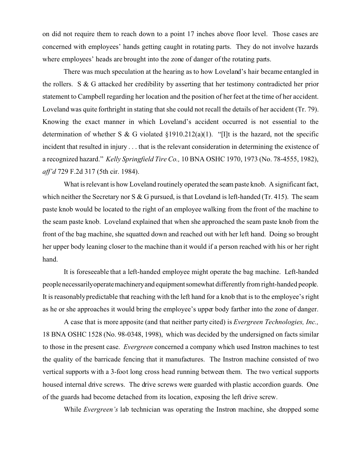on did not require them to reach down to a point 17 inches above floor level. Those cases are concerned with employees' hands getting caught in rotating parts. They do not involve hazards where employees' heads are brought into the zone of danger of the rotating parts.

There was much speculation at the hearing as to how Loveland's hair became entangled in the rollers. S & G attacked her credibility by asserting that her testimony contradicted her prior statement to Campbell regarding her location and the position of her feet at the time of her accident. Loveland was quite forthright in stating that she could not recall the details of her accident (Tr. 79). Knowing the exact manner in which Loveland's accident occurred is not essential to the determination of whether S & G violated  $\S 1910.212(a)(1)$ . "[I]t is the hazard, not the specific incident that resulted in injury . . . that is the relevant consideration in determining the existence of a recognized hazard." *Kelly Springfield Tire Co.,* 10 BNA OSHC 1970, 1973 (No. 78-4555, 1982), *aff'd* 729 F.2d 317 (5th cir. 1984).

What is relevant is how Loveland routinely operated the seam paste knob. A significant fact, which neither the Secretary nor S  $& G$  pursued, is that Loveland is left-handed (Tr. 415). The seam paste knob would be located to the right of an employee walking from the front of the machine to the seam paste knob. Loveland explained that when she approached the seam paste knob from the front of the bag machine, she squatted down and reached out with her left hand. Doing so brought her upper body leaning closer to the machine than it would if a person reached with his or her right hand.

It is foreseeable that a left-handed employee might operate the bag machine. Left-handed peoplenecessarilyoperatemachineryand equipmentsomewhat differently from right-handed people. It is reasonably predictable that reaching with the left hand for a knob that is to the employee's right as he or she approaches it would bring the employee's upper body farther into the zone of danger.

A case that is more apposite (and that neither party cited) is *Evergreen Technologies, Inc.,*  18 BNA OSHC 1528 (No. 98-0348, 1998), which was decided by the undersigned on facts similar to those in the present case. *Evergreen* concerned a company which used Instron machines to test the quality of the barricade fencing that it manufactures. The Instron machine consisted of two vertical supports with a 3-foot long cross head running between them. The two vertical supports housed internal drive screws. The drive screws were guarded with plastic accordion guards. One of the guards had become detached from its location, exposing the left drive screw.

While *Evergreen's* lab technician was operating the Instron machine, she dropped some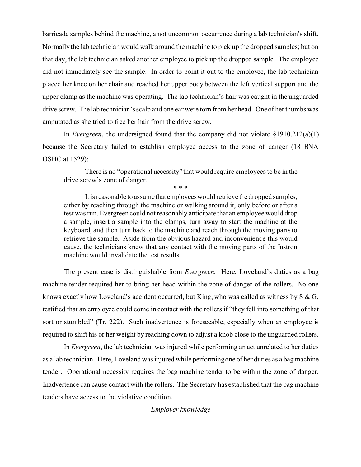barricade samples behind the machine, a not uncommon occurrence during a lab technician's shift. Normally the lab technician would walk around the machine to pick up the dropped samples; but on that day, the lab technician asked another employee to pick up the dropped sample. The employee did not immediately see the sample. In order to point it out to the employee, the lab technician placed her knee on her chair and reached her upper body between the left vertical support and the upper clamp as the machine was operating. The lab technician's hair was caught in the unguarded drive screw. The lab technician's scalp and one ear were torn from her head. One of her thumbs was amputated as she tried to free her hair from the drive screw.

In *Evergreen*, the undersigned found that the company did not violate §1910.212(a)(1) because the Secretary failed to establish employee access to the zone of danger (18 BNA OSHC at 1529):

There is no "operational necessity" that would require employees to be in the drive screw's zone of danger.

\* \* \*

It is reasonable to assume that employees would retrieve the dropped samples, either by reaching through the machine or walking around it, only before or after a test was run. Evergreen could not reasonably anticipate that an employee would drop a sample, insert a sample into the clamps, turn away to start the machine at the keyboard, and then turn back to the machine and reach through the moving parts to retrieve the sample. Aside from the obvious hazard and inconvenience this would cause, the technicians knew that any contact with the moving parts of the Instron machine would invalidate the test results.

The present case is distinguishable from *Evergreen.* Here, Loveland's duties as a bag machine tender required her to bring her head within the zone of danger of the rollers. No one knows exactly how Loveland's accident occurred, but King, who was called as witness by S & G, testified that an employee could come in contact with the rollers if "they fell into something of that sort or stumbled" (Tr. 222). Such inadvertence is foreseeable, especially when an employee is required to shift his or her weight by reaching down to adjust a knob close to the unguarded rollers.

In *Evergreen*, the lab technician was injured while performing an act unrelated to her duties as a lab technician. Here, Loveland was injured while performing one of her duties as a bag machine tender. Operational necessity requires the bag machine tender to be within the zone of danger. Inadvertence can cause contact with the rollers. The Secretary has established that the bag machine tenders have access to the violative condition.

### *Employer knowledge*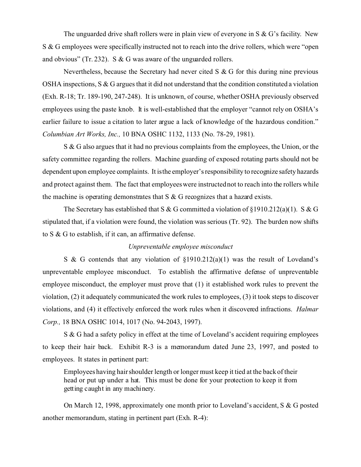The unguarded drive shaft rollers were in plain view of everyone in  $S \& G$ 's facility. New S & G employees were specifically instructed not to reach into the drive rollers, which were "open and obvious" (Tr. 232). S & G was aware of the unguarded rollers.

Nevertheless, because the Secretary had never cited  $S \& G$  for this during nine previous OSHA inspections, S & G argues that it did not understand that the condition constituted a violation (Exh. R-18; Tr. 189-190, 247-248). It is unknown, of course, whether OSHA previously observed employees using the paste knob. It is well-established that the employer "cannot rely on OSHA's earlier failure to issue a citation to later argue a lack of knowledge of the hazardous condition." *Columbian Art Works, Inc.,* 10 BNA OSHC 1132, 1133 (No. 78-29, 1981).

S & G also argues that it had no previous complaints from the employees, the Union, or the safety committee regarding the rollers. Machine guarding of exposed rotating parts should not be dependent upon employee complaints. It isthe employer's responsibility to recognize safety hazards and protect against them. The fact that employees were instructed not to reach into the rollers while the machine is operating demonstrates that  $S & G$  recognizes that a hazard exists.

The Secretary has established that S & G committed a violation of  $\S 1910.212(a)(1)$ . S & G stipulated that, if a violation were found, the violation was serious (Tr. 92). The burden now shifts to S & G to establish, if it can, an affirmative defense.

### *Unpreventable employee misconduct*

S & G contends that any violation of  $\S1910.212(a)(1)$  was the result of Loveland's unpreventable employee misconduct. To establish the affirmative defense of unpreventable employee misconduct, the employer must prove that (1) it established work rules to prevent the violation, (2) it adequately communicated the work rules to employees, (3) it took steps to discover violations, and (4) it effectively enforced the work rules when it discovered infractions. *Halmar Corp.,* 18 BNA OSHC 1014, 1017 (No. 94-2043, 1997).

S & G had a safety policy in effect at the time of Loveland's accident requiring employees to keep their hair back. Exhibit R-3 is a memorandum dated June 23, 1997, and posted to employees. It states in pertinent part:

Employees having hair shoulder length or longer must keep it tied at the back of their head or put up under a hat. This must be done for your protection to keep it from getting caught in any machinery.

On March 12, 1998, approximately one month prior to Loveland's accident, S & G posted another memorandum, stating in pertinent part (Exh. R-4):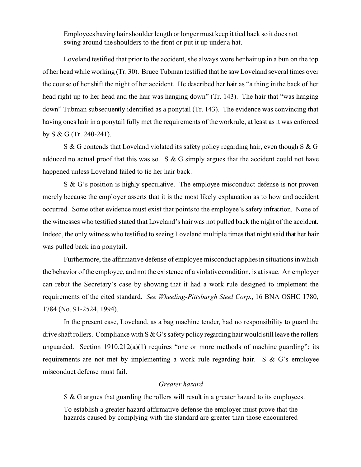Employees having hair shoulder length or longer must keep it tied back so it does not swing around the shoulders to the front or put it up under a hat.

Loveland testified that prior to the accident, she always wore her hair up in a bun on the top of her head while working (Tr. 30). Bruce Tubman testified that he saw Loveland several times over the course of her shift the night of her accident. He described her hair as "a thing in the back of her head right up to her head and the hair was hanging down" (Tr. 143). The hair that "was hanging down" Tubman subsequently identified as a ponytail (Tr. 143). The evidence was convincing that having ones hair in a ponytail fully met the requirements of the workrule, at least as it was enforced by S & G (Tr. 240-241).

S & G contends that Loveland violated its safety policy regarding hair, even though S & G adduced no actual proof that this was so. S & G simply argues that the accident could not have happened unless Loveland failed to tie her hair back.

S & G's position is highly speculative. The employee misconduct defense is not proven merely because the employer asserts that it is the most likely explanation as to how and accident occurred. Some other evidence must exist that points to the employee's safety infraction. None of the witnesses who testified stated that Loveland's hair was not pulled back the night of the accident. Indeed, the only witness who testified to seeing Loveland multiple times that night said that her hair was pulled back in a ponytail.

Furthermore, the affirmative defense of employee misconduct applies in situations in which the behavior of the employee, and not the existence of a violative condition, is at issue. An employer can rebut the Secretary's case by showing that it had a work rule designed to implement the requirements of the cited standard. *See Wheeling-Pittsburgh Steel Corp.*, 16 BNA OSHC 1780, 1784 (No. 91-2524, 1994).

In the present case, Loveland, as a bag machine tender, had no responsibility to guard the drive shaft rollers. Compliance with  $S & G$ 's safety policy regarding hair would still leave the rollers unguarded. Section  $1910.212(a)(1)$  requires "one or more methods of machine guarding"; its requirements are not met by implementing a work rule regarding hair. S & G's employee misconduct defense must fail.

#### *Greater hazard*

S & G argues that guarding the rollers will result in a greater hazard to its employees.

To establish a greater hazard affirmative defense the employer must prove that the hazards caused by complying with the standard are greater than those encountered